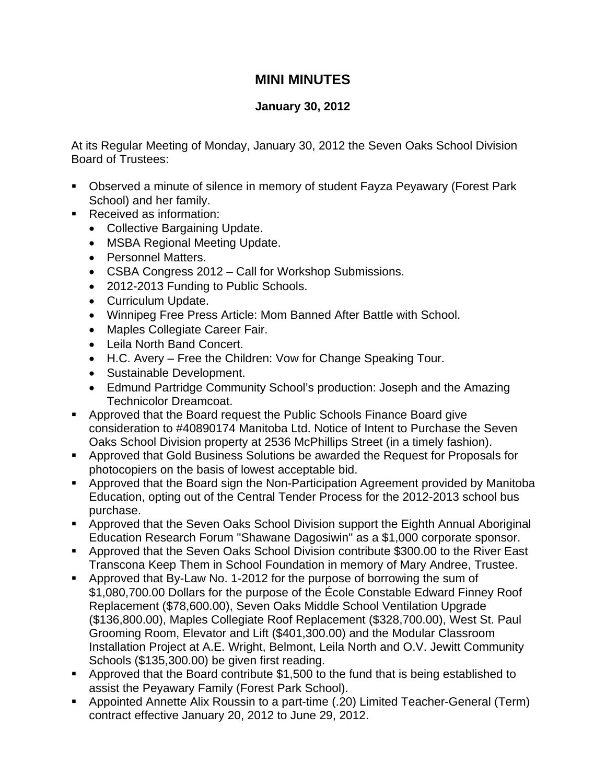## **MINI MINUTES**

## **January 30, 2012**

At its Regular Meeting of Monday, January 30, 2012 the Seven Oaks School Division Board of Trustees:

- Observed a minute of silence in memory of student Fayza Peyawary (Forest Park School) and her family.
- Received as information:
	- Collective Bargaining Update.
	- MSBA Regional Meeting Update.
	- Personnel Matters.
	- CSBA Congress 2012 Call for Workshop Submissions.
	- 2012-2013 Funding to Public Schools.
	- Curriculum Update.
	- Winnipeg Free Press Article: Mom Banned After Battle with School.
	- Maples Collegiate Career Fair.
	- Leila North Band Concert.
	- H.C. Avery Free the Children: Vow for Change Speaking Tour.
	- Sustainable Development.
	- Edmund Partridge Community School's production: Joseph and the Amazing Technicolor Dreamcoat.
- Approved that the Board request the Public Schools Finance Board give consideration to #40890174 Manitoba Ltd. Notice of Intent to Purchase the Seven Oaks School Division property at 2536 McPhillips Street (in a timely fashion).
- Approved that Gold Business Solutions be awarded the Request for Proposals for photocopiers on the basis of lowest acceptable bid.
- Approved that the Board sign the Non-Participation Agreement provided by Manitoba Education, opting out of the Central Tender Process for the 2012-2013 school bus purchase.
- Approved that the Seven Oaks School Division support the Eighth Annual Aboriginal Education Research Forum "Shawane Dagosiwin" as a \$1,000 corporate sponsor.
- **Approved that the Seven Oaks School Division contribute \$300.00 to the River East** Transcona Keep Them in School Foundation in memory of Mary Andree, Trustee.
- Approved that By-Law No. 1-2012 for the purpose of borrowing the sum of \$1,080,700.00 Dollars for the purpose of the École Constable Edward Finney Roof Replacement (\$78,600.00), Seven Oaks Middle School Ventilation Upgrade (\$136,800.00), Maples Collegiate Roof Replacement (\$328,700.00), West St. Paul Grooming Room, Elevator and Lift (\$401,300.00) and the Modular Classroom Installation Project at A.E. Wright, Belmont, Leila North and O.V. Jewitt Community Schools (\$135,300.00) be given first reading.
- Approved that the Board contribute \$1,500 to the fund that is being established to assist the Peyawary Family (Forest Park School).
- Appointed Annette Alix Roussin to a part-time (.20) Limited Teacher-General (Term) contract effective January 20, 2012 to June 29, 2012.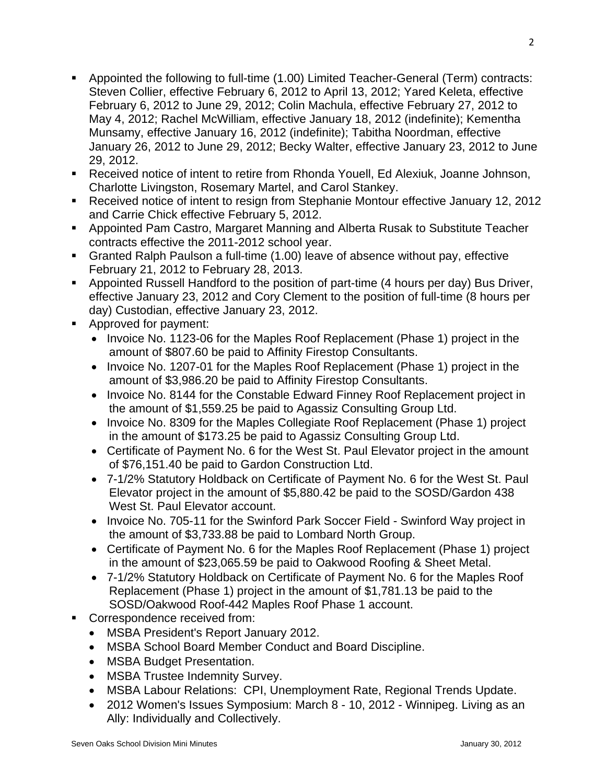- Appointed the following to full-time (1.00) Limited Teacher-General (Term) contracts: Steven Collier, effective February 6, 2012 to April 13, 2012; Yared Keleta, effective February 6, 2012 to June 29, 2012; Colin Machula, effective February 27, 2012 to May 4, 2012; Rachel McWilliam, effective January 18, 2012 (indefinite); Kementha Munsamy, effective January 16, 2012 (indefinite); Tabitha Noordman, effective January 26, 2012 to June 29, 2012; Becky Walter, effective January 23, 2012 to June 29, 2012.
- Received notice of intent to retire from Rhonda Youell, Ed Alexiuk, Joanne Johnson, Charlotte Livingston, Rosemary Martel, and Carol Stankey.
- Received notice of intent to resign from Stephanie Montour effective January 12, 2012 and Carrie Chick effective February 5, 2012.
- Appointed Pam Castro, Margaret Manning and Alberta Rusak to Substitute Teacher contracts effective the 2011-2012 school year.
- Granted Ralph Paulson a full-time (1.00) leave of absence without pay, effective February 21, 2012 to February 28, 2013.
- Appointed Russell Handford to the position of part-time (4 hours per day) Bus Driver, effective January 23, 2012 and Cory Clement to the position of full-time (8 hours per day) Custodian, effective January 23, 2012.
- Approved for payment:
	- Invoice No. 1123-06 for the Maples Roof Replacement (Phase 1) project in the amount of \$807.60 be paid to Affinity Firestop Consultants.
	- Invoice No. 1207-01 for the Maples Roof Replacement (Phase 1) project in the amount of \$3,986.20 be paid to Affinity Firestop Consultants.
	- Invoice No. 8144 for the Constable Edward Finney Roof Replacement project in the amount of \$1,559.25 be paid to Agassiz Consulting Group Ltd.
	- Invoice No. 8309 for the Maples Collegiate Roof Replacement (Phase 1) project in the amount of \$173.25 be paid to Agassiz Consulting Group Ltd.
	- Certificate of Payment No. 6 for the West St. Paul Elevator project in the amount of \$76,151.40 be paid to Gardon Construction Ltd.
	- 7-1/2% Statutory Holdback on Certificate of Payment No. 6 for the West St. Paul Elevator project in the amount of \$5,880.42 be paid to the SOSD/Gardon 438 West St. Paul Elevator account.
	- Invoice No. 705-11 for the Swinford Park Soccer Field Swinford Way project in the amount of \$3,733.88 be paid to Lombard North Group.
	- Certificate of Payment No. 6 for the Maples Roof Replacement (Phase 1) project in the amount of \$23,065.59 be paid to Oakwood Roofing & Sheet Metal.
	- 7-1/2% Statutory Holdback on Certificate of Payment No. 6 for the Maples Roof Replacement (Phase 1) project in the amount of \$1,781.13 be paid to the SOSD/Oakwood Roof-442 Maples Roof Phase 1 account.
- Correspondence received from:
	- MSBA President's Report January 2012.
	- MSBA School Board Member Conduct and Board Discipline.
	- MSBA Budget Presentation.
	- MSBA Trustee Indemnity Survey.
	- MSBA Labour Relations: CPI, Unemployment Rate, Regional Trends Update.
	- 2012 Women's Issues Symposium: March 8 10, 2012 Winnipeg. Living as an Ally: Individually and Collectively.